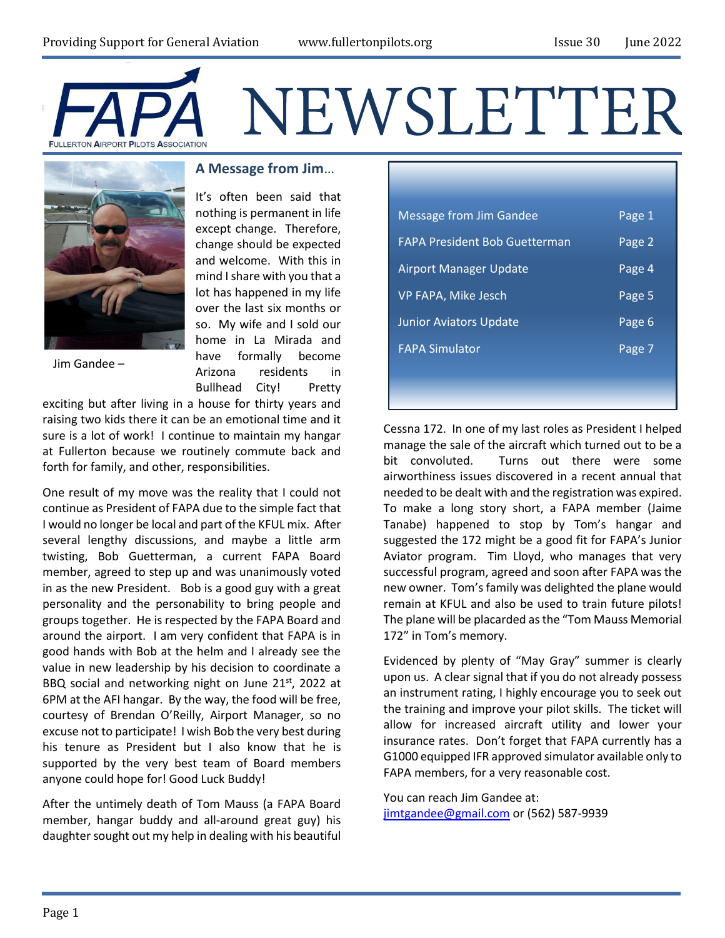



### **A Message from Jim**…

It's often been said that nothing is permanent in life except change. Therefore, change should be expected and welcome. With this in mind I share with you that a lot has happened in my life over the last six months or so. My wife and I sold our home in La Mirada and have formally become Arizona residents in Bullhead City! Pretty

Jim Gandee –

exciting but after living in a house for thirty years and raising two kids there it can be an emotional time and it sure is a lot of work! I continue to maintain my hangar at Fullerton because we routinely commute back and forth for family, and other, responsibilities.

One result of my move was the reality that I could not continue as President of FAPA due to the simple fact that I would no longer be local and part of the KFUL mix. After several lengthy discussions, and maybe a little arm twisting, Bob Guetterman, a current FAPA Board member, agreed to step up and was unanimously voted in as the new President. Bob is a good guy with a great personality and the personability to bring people and groups together. He is respected by the FAPA Board and around the airport. I am very confident that FAPA is in good hands with Bob at the helm and I already see the value in new leadership by his decision to coordinate a BBQ social and networking night on June 21st, 2022 at 6PM at the AFI hangar. By the way, the food will be free, courtesy of Brendan O'Reilly, Airport Manager, so no excuse not to participate! I wish Bob the very best during his tenure as President but I also know that he is supported by the very best team of Board members anyone could hope for! Good Luck Buddy!

After the untimely death of Tom Mauss (a FAPA Board member, hangar buddy and all-around great guy) his daughter sought out my help in dealing with his beautiful

| <b>Message from Jim Gandee</b>       | Page 1 |
|--------------------------------------|--------|
| <b>FAPA President Bob Guetterman</b> | Page 2 |
| <b>Airport Manager Update</b>        | Page 4 |
| VP FAPA, Mike Jesch                  | Page 5 |
| <b>Junior Aviators Update</b>        | Page 6 |
| <b>FAPA Simulator</b>                | Page 7 |
|                                      |        |

Cessna 172. In one of my last roles as President I helped manage the sale of the aircraft which turned out to be a bit convoluted. Turns out there were some airworthiness issues discovered in a recent annual that needed to be dealt with and the registration was expired. To make a long story short, a FAPA member (Jaime Tanabe) happened to stop by Tom's hangar and suggested the 172 might be a good fit for FAPA's Junior Aviator program. Tim Lloyd, who manages that very successful program, agreed and soon after FAPA was the new owner. Tom's family was delighted the plane would remain at KFUL and also be used to train future pilots! The plane will be placarded as the "Tom Mauss Memorial 172" in Tom's memory.

Evidenced by plenty of "May Gray" summer is clearly upon us. A clear signal that if you do not already possess an instrument rating, I highly encourage you to seek out the training and improve your pilot skills. The ticket will allow for increased aircraft utility and lower your insurance rates. Don't forget that FAPA currently has a G1000 equipped IFR approved simulator available only to FAPA members, for a very reasonable cost.

You can reach Jim Gandee at: [jimtgandee@gmail.com](mailto:jimtgandee@gmail.com) or (562) 587-9939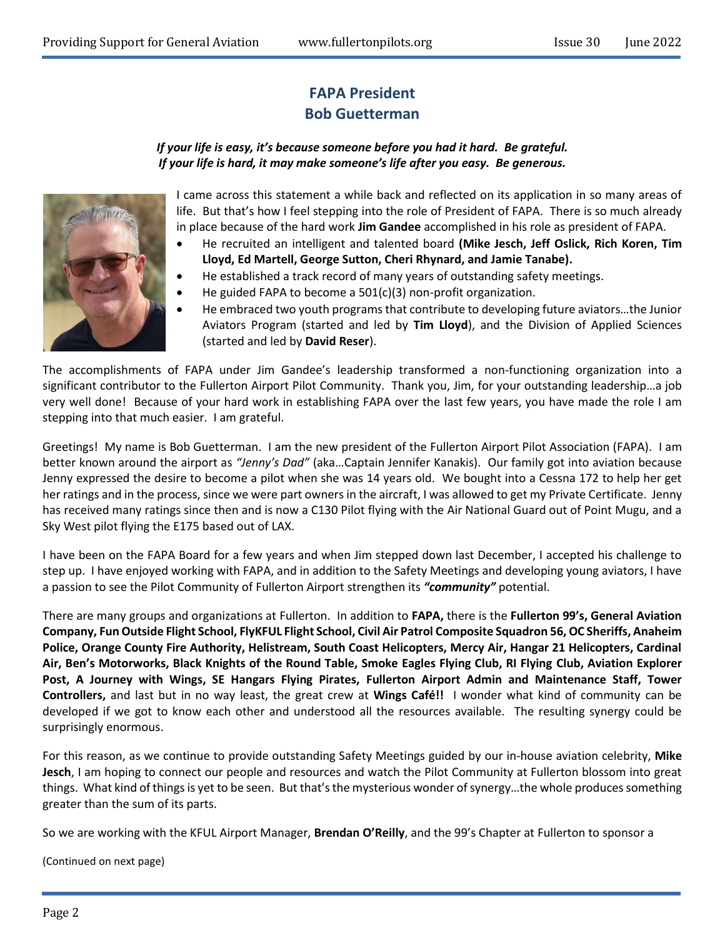# **FAPA President Bob Guetterman**

### *If your life is easy, it's because someone before you had it hard. Be grateful. If your life is hard, it may make someone's life after you easy. Be generous.*



I came across this statement a while back and reflected on its application in so many areas of life. But that's how I feel stepping into the role of President of FAPA. There is so much already in place because of the hard work **Jim Gandee** accomplished in his role as president of FAPA.

- He recruited an intelligent and talented board **(Mike Jesch, Jeff Oslick, Rich Koren, Tim Lloyd, Ed Martell, George Sutton, Cheri Rhynard, and Jamie Tanabe).**
- He established a track record of many years of outstanding safety meetings.
- He guided FAPA to become a 501(c)(3) non-profit organization.
- He embraced two youth programs that contribute to developing future aviators…the Junior Aviators Program (started and led by **Tim Lloyd**), and the Division of Applied Sciences (started and led by **David Reser**).

The accomplishments of FAPA under Jim Gandee's leadership transformed a non-functioning organization into a significant contributor to the Fullerton Airport Pilot Community. Thank you, Jim, for your outstanding leadership…a job very well done! Because of your hard work in establishing FAPA over the last few years, you have made the role I am stepping into that much easier. I am grateful.

Greetings! My name is Bob Guetterman. I am the new president of the Fullerton Airport Pilot Association (FAPA). I am better known around the airport as *"Jenny's Dad"* (aka…Captain Jennifer Kanakis). Our family got into aviation because Jenny expressed the desire to become a pilot when she was 14 years old. We bought into a Cessna 172 to help her get her ratings and in the process, since we were part owners in the aircraft, I was allowed to get my Private Certificate. Jenny has received many ratings since then and is now a C130 Pilot flying with the Air National Guard out of Point Mugu, and a Sky West pilot flying the E175 based out of LAX.

I have been on the FAPA Board for a few years and when Jim stepped down last December, I accepted his challenge to step up. I have enjoyed working with FAPA, and in addition to the Safety Meetings and developing young aviators, I have a passion to see the Pilot Community of Fullerton Airport strengthen its *"community"* potential.

There are many groups and organizations at Fullerton. In addition to **FAPA,** there is the **Fullerton 99's, General Aviation Company, Fun Outside Flight School, FlyKFUL Flight School, Civil Air Patrol Composite Squadron 56, OC Sheriffs, Anaheim Police, Orange County Fire Authority, Helistream, South Coast Helicopters, Mercy Air, Hangar 21 Helicopters, Cardinal Air, Ben's Motorworks, Black Knights of the Round Table, Smoke Eagles Flying Club, RI Flying Club, Aviation Explorer Post, A Journey with Wings, SE Hangars Flying Pirates, Fullerton Airport Admin and Maintenance Staff, Tower Controllers,** and last but in no way least, the great crew at **Wings Café!!** I wonder what kind of community can be developed if we got to know each other and understood all the resources available. The resulting synergy could be surprisingly enormous.

For this reason, as we continue to provide outstanding Safety Meetings guided by our in-house aviation celebrity, **Mike Jesch**, I am hoping to connect our people and resources and watch the Pilot Community at Fullerton blossom into great things. What kind of things is yet to be seen. But that's the mysterious wonder of synergy…the whole produces something greater than the sum of its parts.

So we are working with the KFUL Airport Manager, **Brendan O'Reilly**, and the 99's Chapter at Fullerton to sponsor a

(Continued on next page)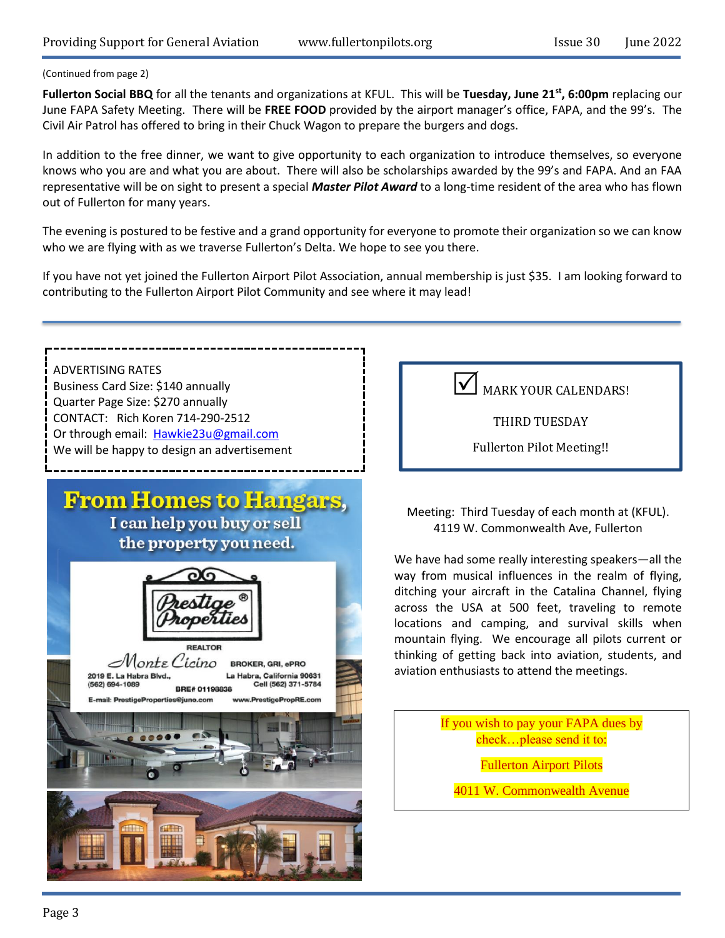#### (Continued from page 2)

**Fullerton Social BBQ** for all the tenants and organizations at KFUL. This will be **Tuesday, June 21st, 6:00pm** replacing our June FAPA Safety Meeting. There will be **FREE FOOD** provided by the airport manager's office, FAPA, and the 99's. The Civil Air Patrol has offered to bring in their Chuck Wagon to prepare the burgers and dogs.

In addition to the free dinner, we want to give opportunity to each organization to introduce themselves, so everyone knows who you are and what you are about. There will also be scholarships awarded by the 99's and FAPA. And an FAA representative will be on sight to present a special *Master Pilot Award* to a long-time resident of the area who has flown out of Fullerton for many years.

The evening is postured to be festive and a grand opportunity for everyone to promote their organization so we can know who we are flying with as we traverse Fullerton's Delta. We hope to see you there.

If you have not yet joined the Fullerton Airport Pilot Association, annual membership is just \$35. I am looking forward to contributing to the Fullerton Airport Pilot Community and see where it may lead!

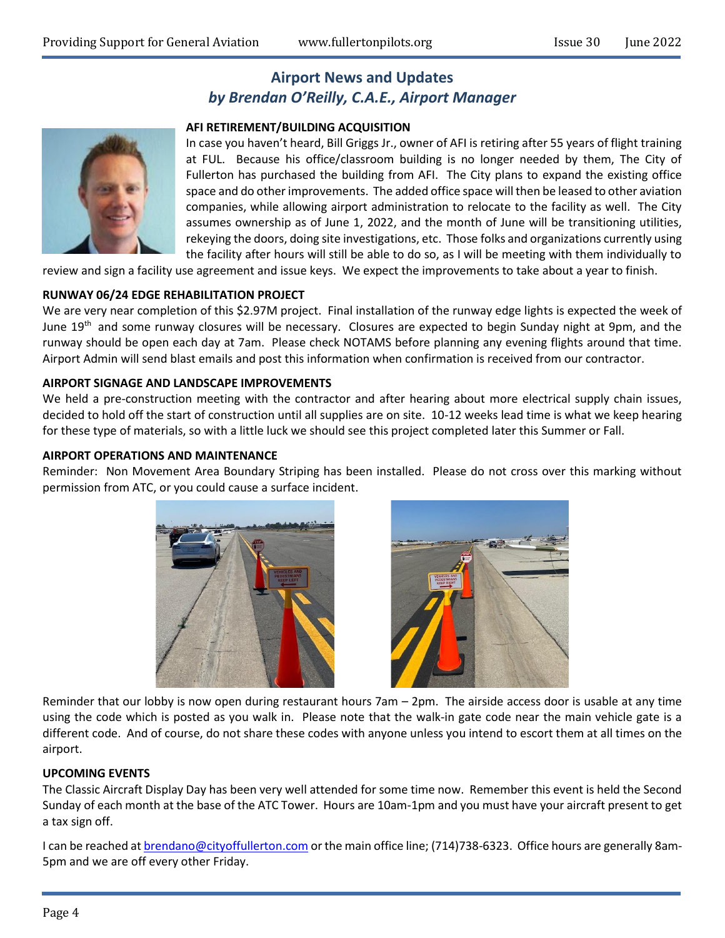# **Airport News and Updates** *by Brendan O'Reilly, C.A.E., Airport Manager*

#### **AFI RETIREMENT/BUILDING ACQUISITION**

In case you haven't heard, Bill Griggs Jr., owner of AFI is retiring after 55 years of flight training at FUL. Because his office/classroom building is no longer needed by them, The City of Fullerton has purchased the building from AFI. The City plans to expand the existing office space and do other improvements. The added office space will then be leased to other aviation companies, while allowing airport administration to relocate to the facility as well. The City assumes ownership as of June 1, 2022, and the month of June will be transitioning utilities, rekeying the doors, doing site investigations, etc. Those folks and organizations currently using the facility after hours will still be able to do so, as I will be meeting with them individually to

review and sign a facility use agreement and issue keys. We expect the improvements to take about a year to finish.

#### **RUNWAY 06/24 EDGE REHABILITATION PROJECT**

We are very near completion of this \$2.97M project. Final installation of the runway edge lights is expected the week of June  $19<sup>th</sup>$  and some runway closures will be necessary. Closures are expected to begin Sunday night at 9pm, and the runway should be open each day at 7am. Please check NOTAMS before planning any evening flights around that time. Airport Admin will send blast emails and post this information when confirmation is received from our contractor.

#### **AIRPORT SIGNAGE AND LANDSCAPE IMPROVEMENTS**

We held a pre-construction meeting with the contractor and after hearing about more electrical supply chain issues, decided to hold off the start of construction until all supplies are on site. 10-12 weeks lead time is what we keep hearing for these type of materials, so with a little luck we should see this project completed later this Summer or Fall.

#### **AIRPORT OPERATIONS AND MAINTENANCE**

Reminder: Non Movement Area Boundary Striping has been installed. Please do not cross over this marking without permission from ATC, or you could cause a surface incident.





Reminder that our lobby is now open during restaurant hours 7am – 2pm. The airside access door is usable at any time using the code which is posted as you walk in. Please note that the walk-in gate code near the main vehicle gate is a different code. And of course, do not share these codes with anyone unless you intend to escort them at all times on the airport.

#### **UPCOMING EVENTS**

The Classic Aircraft Display Day has been very well attended for some time now. Remember this event is held the Second Sunday of each month at the base of the ATC Tower. Hours are 10am-1pm and you must have your aircraft present to get a tax sign off.

I can be reached a[t brendano@cityoffullerton.com](mailto:brendano@cityoffullerton.com) or the main office line; (714)738-6323. Office hours are generally 8am-5pm and we are off every other Friday.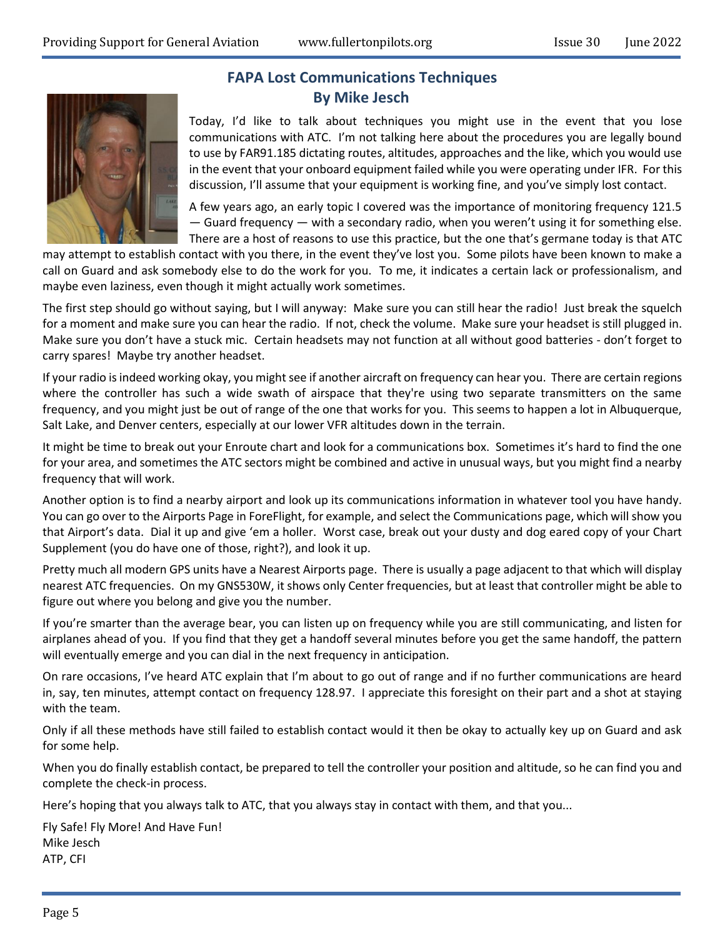

### **FAPA Lost Communications Techniques By Mike Jesch**

Today, I'd like to talk about techniques you might use in the event that you lose communications with ATC. I'm not talking here about the procedures you are legally bound to use by FAR91.185 dictating routes, altitudes, approaches and the like, which you would use in the event that your onboard equipment failed while you were operating under IFR. For this discussion, I'll assume that your equipment is working fine, and you've simply lost contact.

A few years ago, an early topic I covered was the importance of monitoring frequency 121.5 — Guard frequency — with a secondary radio, when you weren't using it for something else. There are a host of reasons to use this practice, but the one that's germane today is that ATC

may attempt to establish contact with you there, in the event they've lost you. Some pilots have been known to make a call on Guard and ask somebody else to do the work for you. To me, it indicates a certain lack or professionalism, and maybe even laziness, even though it might actually work sometimes.

The first step should go without saying, but I will anyway: Make sure you can still hear the radio! Just break the squelch for a moment and make sure you can hear the radio. If not, check the volume. Make sure your headset is still plugged in. Make sure you don't have a stuck mic. Certain headsets may not function at all without good batteries - don't forget to carry spares! Maybe try another headset.

If your radio is indeed working okay, you might see if another aircraft on frequency can hear you. There are certain regions where the controller has such a wide swath of airspace that they're using two separate transmitters on the same frequency, and you might just be out of range of the one that works for you. This seems to happen a lot in Albuquerque, Salt Lake, and Denver centers, especially at our lower VFR altitudes down in the terrain.

It might be time to break out your Enroute chart and look for a communications box. Sometimes it's hard to find the one for your area, and sometimes the ATC sectors might be combined and active in unusual ways, but you might find a nearby frequency that will work.

Another option is to find a nearby airport and look up its communications information in whatever tool you have handy. You can go over to the Airports Page in ForeFlight, for example, and select the Communications page, which will show you that Airport's data. Dial it up and give 'em a holler. Worst case, break out your dusty and dog eared copy of your Chart Supplement (you do have one of those, right?), and look it up.

Pretty much all modern GPS units have a Nearest Airports page. There is usually a page adjacent to that which will display nearest ATC frequencies. On my GNS530W, it shows only Center frequencies, but at least that controller might be able to figure out where you belong and give you the number.

If you're smarter than the average bear, you can listen up on frequency while you are still communicating, and listen for airplanes ahead of you. If you find that they get a handoff several minutes before you get the same handoff, the pattern will eventually emerge and you can dial in the next frequency in anticipation.

On rare occasions, I've heard ATC explain that I'm about to go out of range and if no further communications are heard in, say, ten minutes, attempt contact on frequency 128.97. I appreciate this foresight on their part and a shot at staying with the team.

Only if all these methods have still failed to establish contact would it then be okay to actually key up on Guard and ask for some help.

When you do finally establish contact, be prepared to tell the controller your position and altitude, so he can find you and complete the check-in process.

Here's hoping that you always talk to ATC, that you always stay in contact with them, and that you...

Fly Safe! Fly More! And Have Fun! Mike Jesch ATP, CFI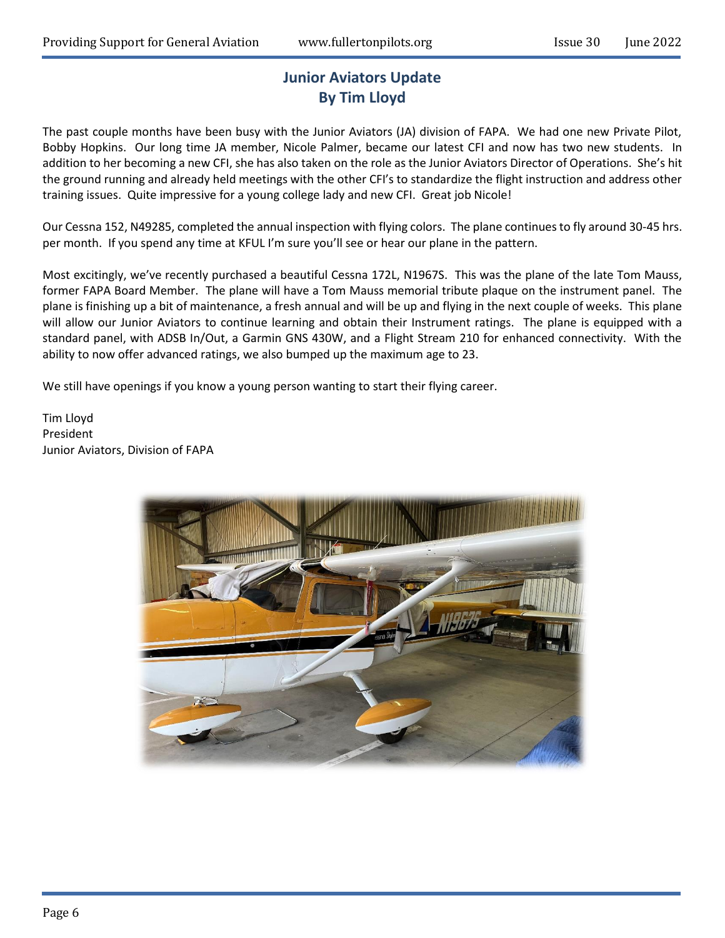# **Junior Aviators Update By Tim Lloyd**

The past couple months have been busy with the Junior Aviators (JA) division of FAPA. We had one new Private Pilot, Bobby Hopkins. Our long time JA member, Nicole Palmer, became our latest CFI and now has two new students. In addition to her becoming a new CFI, she has also taken on the role as the Junior Aviators Director of Operations. She's hit the ground running and already held meetings with the other CFI's to standardize the flight instruction and address other training issues. Quite impressive for a young college lady and new CFI. Great job Nicole!

Our Cessna 152, N49285, completed the annual inspection with flying colors. The plane continues to fly around 30-45 hrs. per month. If you spend any time at KFUL I'm sure you'll see or hear our plane in the pattern.

Most excitingly, we've recently purchased a beautiful Cessna 172L, N1967S. This was the plane of the late Tom Mauss, former FAPA Board Member. The plane will have a Tom Mauss memorial tribute plaque on the instrument panel. The plane is finishing up a bit of maintenance, a fresh annual and will be up and flying in the next couple of weeks. This plane will allow our Junior Aviators to continue learning and obtain their Instrument ratings. The plane is equipped with a standard panel, with ADSB In/Out, a Garmin GNS 430W, and a Flight Stream 210 for enhanced connectivity. With the ability to now offer advanced ratings, we also bumped up the maximum age to 23.

We still have openings if you know a young person wanting to start their flying career.

Tim Lloyd President Junior Aviators, Division of FAPA